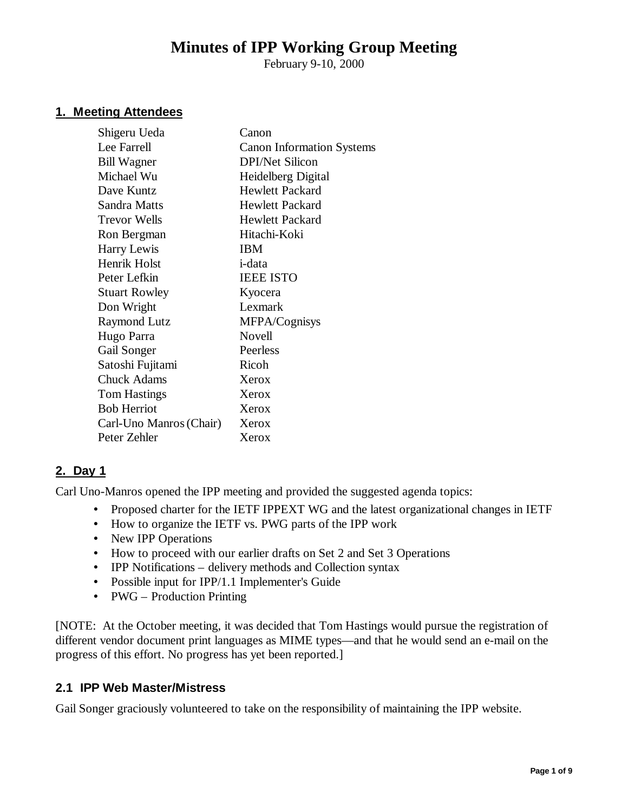# **Minutes of IPP Working Group Meeting**

February 9-10, 2000

# **1. Meeting Attendees**

| Shigeru Ueda            | Canon                            |
|-------------------------|----------------------------------|
| Lee Farrell             | <b>Canon Information Systems</b> |
| <b>Bill Wagner</b>      | <b>DPI/Net Silicon</b>           |
| Michael Wu              | Heidelberg Digital               |
| Dave Kuntz              | <b>Hewlett Packard</b>           |
| Sandra Matts            | Hewlett Packard                  |
| Trevor Wells            | <b>Hewlett Packard</b>           |
| Ron Bergman             | Hitachi-Koki                     |
| Harry Lewis             | <b>IBM</b>                       |
| Henrik Holst            | <i>i</i> -data                   |
| Peter Lefkin            | <b>IEEE ISTO</b>                 |
| <b>Stuart Rowley</b>    | Kyocera                          |
| Don Wright              | Lexmark                          |
| <b>Raymond Lutz</b>     | MFPA/Cognisys                    |
| Hugo Parra              | Novell                           |
| Gail Songer             | Peerless                         |
| Satoshi Fujitami        | Ricoh                            |
| <b>Chuck Adams</b>      | Xerox                            |
| <b>Tom Hastings</b>     | Xerox                            |
| <b>Bob Herriot</b>      | Xerox                            |
| Carl-Uno Manros (Chair) | Xerox                            |
| Peter Zehler            | Xerox                            |
|                         |                                  |

# **2. Day 1**

Carl Uno-Manros opened the IPP meeting and provided the suggested agenda topics:

- Proposed charter for the IETF IPPEXT WG and the latest organizational changes in IETF
- How to organize the IETF vs. PWG parts of the IPP work
- New IPP Operations
- How to proceed with our earlier drafts on Set 2 and Set 3 Operations
- IPP Notifications delivery methods and Collection syntax
- Possible input for IPP/1.1 Implementer's Guide
- PWG Production Printing

[NOTE: At the October meeting, it was decided that Tom Hastings would pursue the registration of different vendor document print languages as MIME types— and that he would send an e-mail on the progress of this effort. No progress has yet been reported.]

# **2.1 IPP Web Master/Mistress**

Gail Songer graciously volunteered to take on the responsibility of maintaining the IPP website.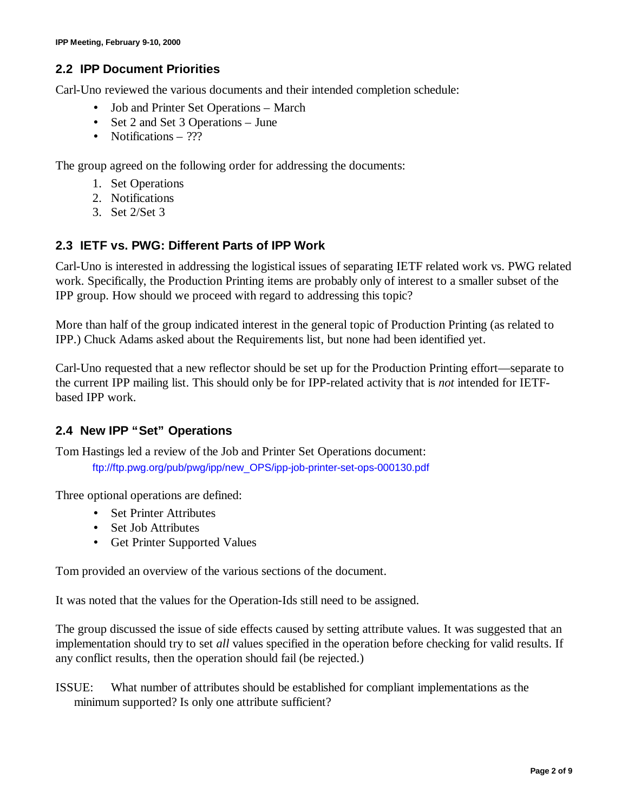# **2.2 IPP Document Priorities**

Carl-Uno reviewed the various documents and their intended completion schedule:

- Job and Printer Set Operations March
- Set 2 and Set 3 Operations June
- Notifications ???

The group agreed on the following order for addressing the documents:

- 1. Set Operations
- 2. Notifications
- 3. Set 2/Set 3

# **2.3 IETF vs. PWG: Different Parts of IPP Work**

Carl-Uno is interested in addressing the logistical issues of separating IETF related work vs. PWG related work. Specifically, the Production Printing items are probably only of interest to a smaller subset of the IPP group. How should we proceed with regard to addressing this topic?

More than half of the group indicated interest in the general topic of Production Printing (as related to IPP.) Chuck Adams asked about the Requirements list, but none had been identified yet.

Carl-Uno requested that a new reflector should be set up for the Production Printing effort— separate to the current IPP mailing list. This should only be for IPP-related activity that is *not* intended for IETFbased IPP work.

# **2.4 New IPP "Set" Operations**

Tom Hastings led a review of the Job and Printer Set Operations document: ftp://ftp.pwg.org/pub/pwg/ipp/new\_OPS/ipp-job-printer-set-ops-000130.pdf

Three optional operations are defined:

- Set Printer Attributes
- Set Job Attributes
- Get Printer Supported Values

Tom provided an overview of the various sections of the document.

It was noted that the values for the Operation-Ids still need to be assigned.

The group discussed the issue of side effects caused by setting attribute values. It was suggested that an implementation should try to set *all* values specified in the operation before checking for valid results. If any conflict results, then the operation should fail (be rejected.)

ISSUE: What number of attributes should be established for compliant implementations as the minimum supported? Is only one attribute sufficient?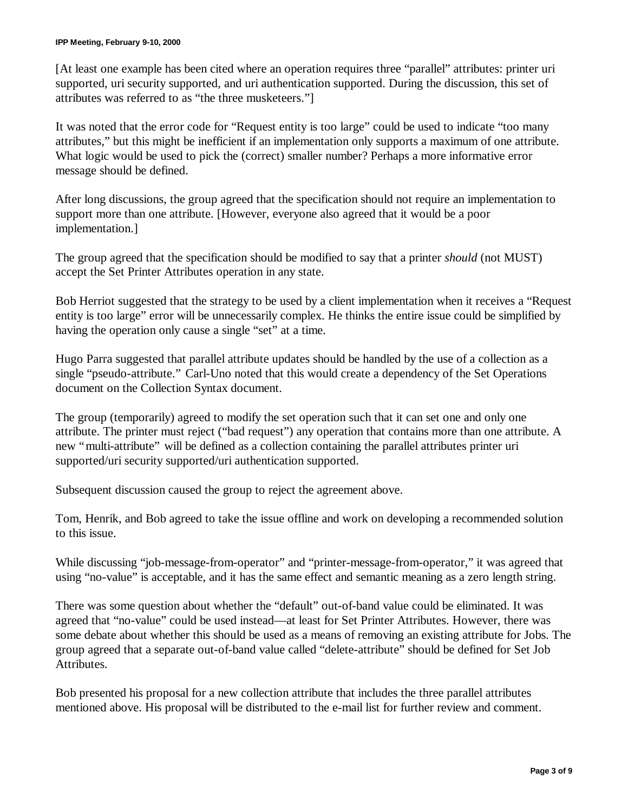#### **IPP Meeting, February 9-10, 2000**

[At least one example has been cited where an operation requires three "parallel" attributes: printer uri supported, uri security supported, and uri authentication supported. During the discussion, this set of attributes was referred to as "the three musketeers."]

It was noted that the error code for "Request entity is too large" could be used to indicate "too many attributes," but this might be inefficient if an implementation only supports a maximum of one attribute. What logic would be used to pick the (correct) smaller number? Perhaps a more informative error message should be defined.

After long discussions, the group agreed that the specification should not require an implementation to support more than one attribute. [However, everyone also agreed that it would be a poor implementation.]

The group agreed that the specification should be modified to say that a printer *should* (not MUST) accept the Set Printer Attributes operation in any state.

Bob Herriot suggested that the strategy to be used by a client implementation when it receives a "Request entity is too large" error will be unnecessarily complex. He thinks the entire issue could be simplified by having the operation only cause a single "set" at a time.

Hugo Parra suggested that parallel attribute updates should be handled by the use of a collection as a single "pseudo-attribute." Carl-Uno noted that this would create a dependency of the Set Operations document on the Collection Syntax document.

The group (temporarily) agreed to modify the set operation such that it can set one and only one attribute. The printer must reject ("bad request") any operation that contains more than one attribute. A new "multi-attribute" will be defined as a collection containing the parallel attributes printer uri supported/uri security supported/uri authentication supported.

Subsequent discussion caused the group to reject the agreement above.

Tom, Henrik, and Bob agreed to take the issue offline and work on developing a recommended solution to this issue.

While discussing "job-message-from-operator" and "printer-message-from-operator," it was agreed that using "no-value" is acceptable, and it has the same effect and semantic meaning as a zero length string.

There was some question about whether the "default" out-of-band value could be eliminated. It was agreed that "no-value" could be used instead— at least for Set Printer Attributes. However, there was some debate about whether this should be used as a means of removing an existing attribute for Jobs. The group agreed that a separate out-of-band value called "delete-attribute" should be defined for Set Job Attributes.

Bob presented his proposal for a new collection attribute that includes the three parallel attributes mentioned above. His proposal will be distributed to the e-mail list for further review and comment.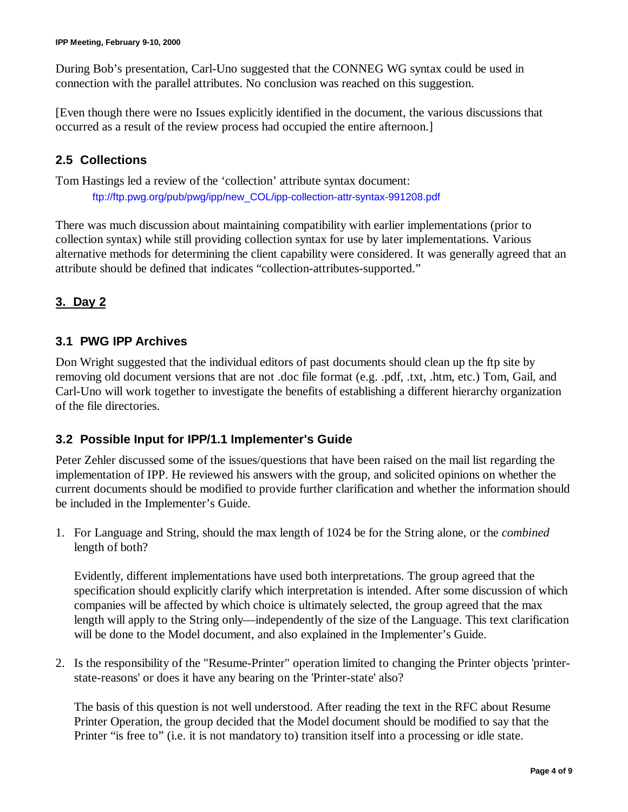During Bob's presentation, Carl-Uno suggested that the CONNEG WG syntax could be used in connection with the parallel attributes. No conclusion was reached on this suggestion.

[Even though there were no Issues explicitly identified in the document, the various discussions that occurred as a result of the review process had occupied the entire afternoon.]

# **2.5 Collections**

Tom Hastings led a review of the 'collection' attribute syntax document: ftp://ftp.pwg.org/pub/pwg/ipp/new\_COL/ipp-collection-attr-syntax-991208.pdf

There was much discussion about maintaining compatibility with earlier implementations (prior to collection syntax) while still providing collection syntax for use by later implementations. Various alternative methods for determining the client capability were considered. It was generally agreed that an attribute should be defined that indicates "collection-attributes-supported."

# **3. Day 2**

# **3.1 PWG IPP Archives**

Don Wright suggested that the individual editors of past documents should clean up the ftp site by removing old document versions that are not .doc file format (e.g. .pdf, .txt, .htm, etc.) Tom, Gail, and Carl-Uno will work together to investigate the benefits of establishing a different hierarchy organization of the file directories.

# **3.2 Possible Input for IPP/1.1 Implementer's Guide**

Peter Zehler discussed some of the issues/questions that have been raised on the mail list regarding the implementation of IPP. He reviewed his answers with the group, and solicited opinions on whether the current documents should be modified to provide further clarification and whether the information should be included in the Implementer's Guide.

1. For Language and String, should the max length of 1024 be for the String alone, or the *combined* length of both?

Evidently, different implementations have used both interpretations. The group agreed that the specification should explicitly clarify which interpretation is intended. After some discussion of which companies will be affected by which choice is ultimately selected, the group agreed that the max length will apply to the String only— independently of the size of the Language. This text clarification will be done to the Model document, and also explained in the Implementer's Guide.

2. Is the responsibility of the "Resume-Printer" operation limited to changing the Printer objects 'printerstate-reasons' or does it have any bearing on the 'Printer-state' also?

The basis of this question is not well understood. After reading the text in the RFC about Resume Printer Operation, the group decided that the Model document should be modified to say that the Printer "is free to" (i.e. it is not mandatory to) transition itself into a processing or idle state.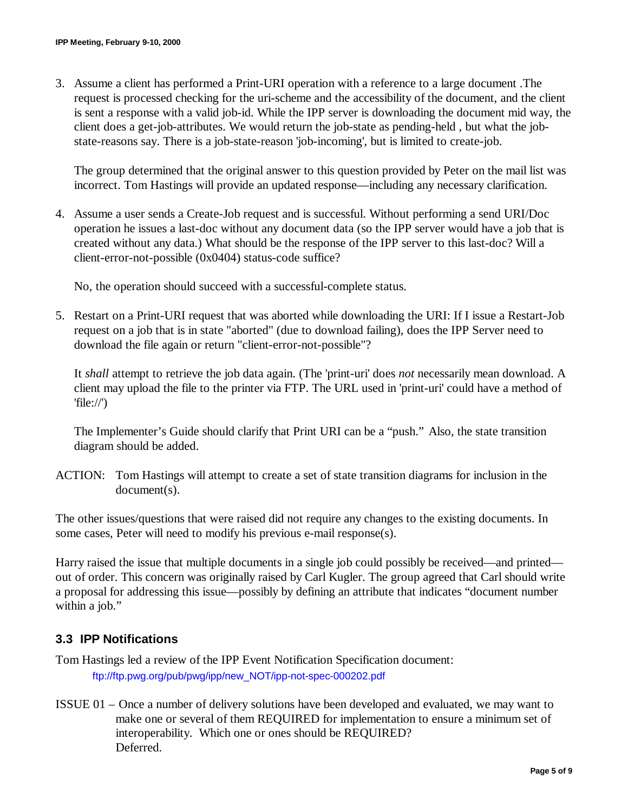3. Assume a client has performed a Print-URI operation with a reference to a large document .The request is processed checking for the uri-scheme and the accessibility of the document, and the client is sent a response with a valid job-id. While the IPP server is downloading the document mid way, the client does a get-job-attributes. We would return the job-state as pending-held , but what the jobstate-reasons say. There is a job-state-reason 'job-incoming', but is limited to create-job.

The group determined that the original answer to this question provided by Peter on the mail list was incorrect. Tom Hastings will provide an updated response— including any necessary clarification.

4. Assume a user sends a Create-Job request and is successful. Without performing a send URI/Doc operation he issues a last-doc without any document data (so the IPP server would have a job that is created without any data.) What should be the response of the IPP server to this last-doc? Will a client-error-not-possible (0x0404) status-code suffice?

No, the operation should succeed with a successful-complete status.

5. Restart on a Print-URI request that was aborted while downloading the URI: If I issue a Restart-Job request on a job that is in state "aborted" (due to download failing), does the IPP Server need to download the file again or return "client-error-not-possible"?

It *shall* attempt to retrieve the job data again. (The 'print-uri' does *not* necessarily mean download. A client may upload the file to the printer via FTP. The URL used in 'print-uri' could have a method of 'file://')

The Implementer's Guide should clarify that Print URI can be a "push." Also, the state transition diagram should be added.

ACTION: Tom Hastings will attempt to create a set of state transition diagrams for inclusion in the document(s).

The other issues/questions that were raised did not require any changes to the existing documents. In some cases, Peter will need to modify his previous e-mail response(s).

Harry raised the issue that multiple documents in a single job could possibly be received— and printed out of order. This concern was originally raised by Carl Kugler. The group agreed that Carl should write a proposal for addressing this issue— possibly by defining an attribute that indicates "document number within a job."

# **3.3 IPP Notifications**

- Tom Hastings led a review of the IPP Event Notification Specification document: ftp://ftp.pwg.org/pub/pwg/ipp/new\_NOT/ipp-not-spec-000202.pdf
- ISSUE 01 Once a number of delivery solutions have been developed and evaluated, we may want to make one or several of them REQUIRED for implementation to ensure a minimum set of interoperability. Which one or ones should be REQUIRED? Deferred.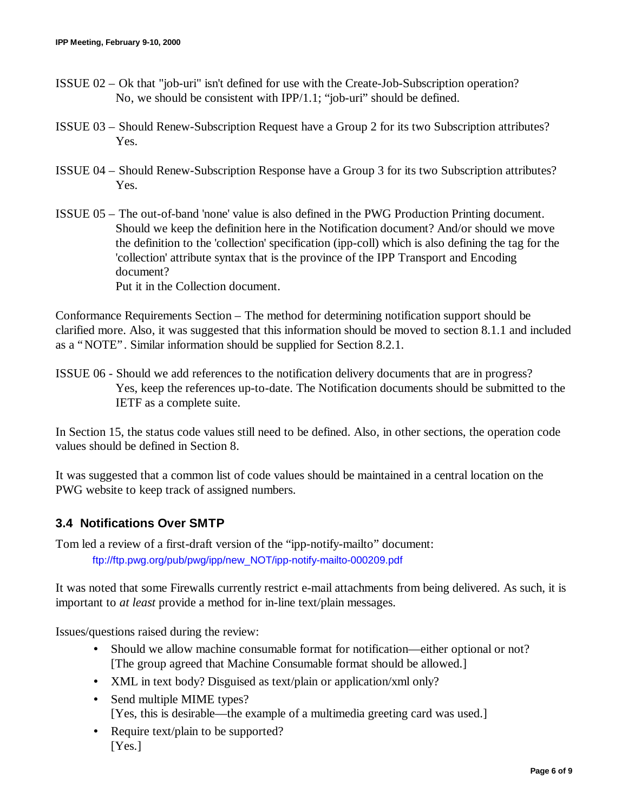- ISSUE 02 Ok that "job-uri" isn't defined for use with the Create-Job-Subscription operation? No, we should be consistent with IPP/1.1; "job-uri" should be defined.
- ISSUE 03 Should Renew-Subscription Request have a Group 2 for its two Subscription attributes? Yes.
- ISSUE 04 Should Renew-Subscription Response have a Group 3 for its two Subscription attributes? Yes.
- ISSUE 05 The out-of-band 'none' value is also defined in the PWG Production Printing document. Should we keep the definition here in the Notification document? And/or should we move the definition to the 'collection' specification (ipp-coll) which is also defining the tag for the 'collection' attribute syntax that is the province of the IPP Transport and Encoding document? Put it in the Collection document.

Conformance Requirements Section – The method for determining notification support should be clarified more. Also, it was suggested that this information should be moved to section 8.1.1 and included as a "NOTE". Similar information should be supplied for Section 8.2.1.

ISSUE 06 - Should we add references to the notification delivery documents that are in progress? Yes, keep the references up-to-date. The Notification documents should be submitted to the IETF as a complete suite.

In Section 15, the status code values still need to be defined. Also, in other sections, the operation code values should be defined in Section 8.

It was suggested that a common list of code values should be maintained in a central location on the PWG website to keep track of assigned numbers.

# **3.4 Notifications Over SMTP**

Tom led a review of a first-draft version of the "ipp-notify-mailto" document: ftp://ftp.pwg.org/pub/pwg/ipp/new\_NOT/ipp-notify-mailto-000209.pdf

It was noted that some Firewalls currently restrict e-mail attachments from being delivered. As such, it is important to *at least* provide a method for in-line text/plain messages.

Issues/questions raised during the review:

- Should we allow machine consumable format for notification—either optional or not? [The group agreed that Machine Consumable format should be allowed.]
- XML in text body? Disguised as text/plain or application/xml only?
- Send multiple MIME types? [Yes, this is desirable—the example of a multimedia greeting card was used.]
- Require text/plain to be supported? [Yes.]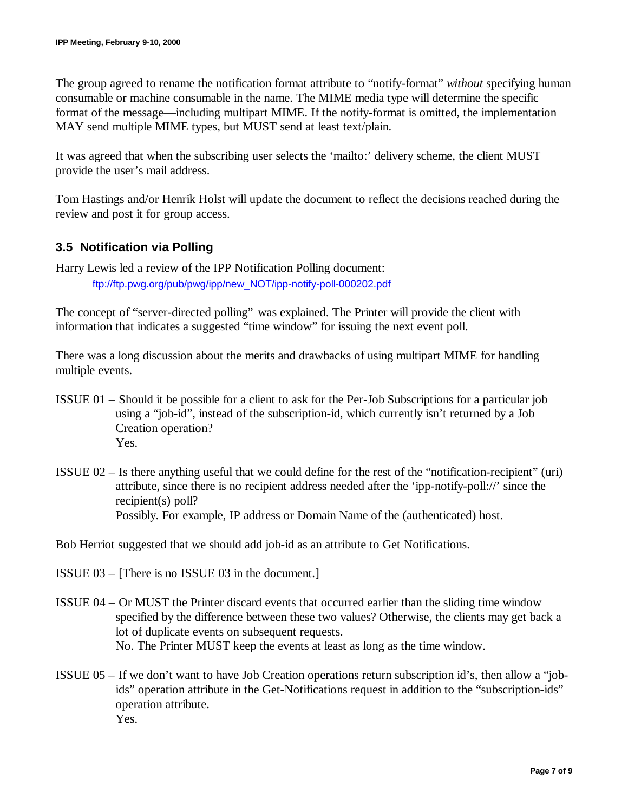The group agreed to rename the notification format attribute to "notify-format" *without* specifying human consumable or machine consumable in the name. The MIME media type will determine the specific format of the message— including multipart MIME. If the notify-format is omitted, the implementation MAY send multiple MIME types, but MUST send at least text/plain.

It was agreed that when the subscribing user selects the 'mailto:' delivery scheme, the client MUST provide the user's mail address.

Tom Hastings and/or Henrik Holst will update the document to reflect the decisions reached during the review and post it for group access.

# **3.5 Notification via Polling**

Harry Lewis led a review of the IPP Notification Polling document: ftp://ftp.pwg.org/pub/pwg/ipp/new\_NOT/ipp-notify-poll-000202.pdf

The concept of "server-directed polling" was explained. The Printer will provide the client with information that indicates a suggested "time window" for issuing the next event poll.

There was a long discussion about the merits and drawbacks of using multipart MIME for handling multiple events.

- ISSUE 01 Should it be possible for a client to ask for the Per-Job Subscriptions for a particular job using a "job-id", instead of the subscription-id, which currently isn't returned by a Job Creation operation? Yes.
- ISSUE 02 Is there anything useful that we could define for the rest of the "notification-recipient" (uri) attribute, since there is no recipient address needed after the 'ipp-notify-poll://' since the recipient(s) poll? Possibly. For example, IP address or Domain Name of the (authenticated) host.

Bob Herriot suggested that we should add job-id as an attribute to Get Notifications.

- ISSUE 03 [There is no ISSUE 03 in the document.]
- ISSUE 04 Or MUST the Printer discard events that occurred earlier than the sliding time window specified by the difference between these two values? Otherwise, the clients may get back a lot of duplicate events on subsequent requests. No. The Printer MUST keep the events at least as long as the time window.
- ISSUE 05 If we don't want to have Job Creation operations return subscription id's, then allow a "jobids" operation attribute in the Get-Notifications request in addition to the "subscription-ids" operation attribute. Yes.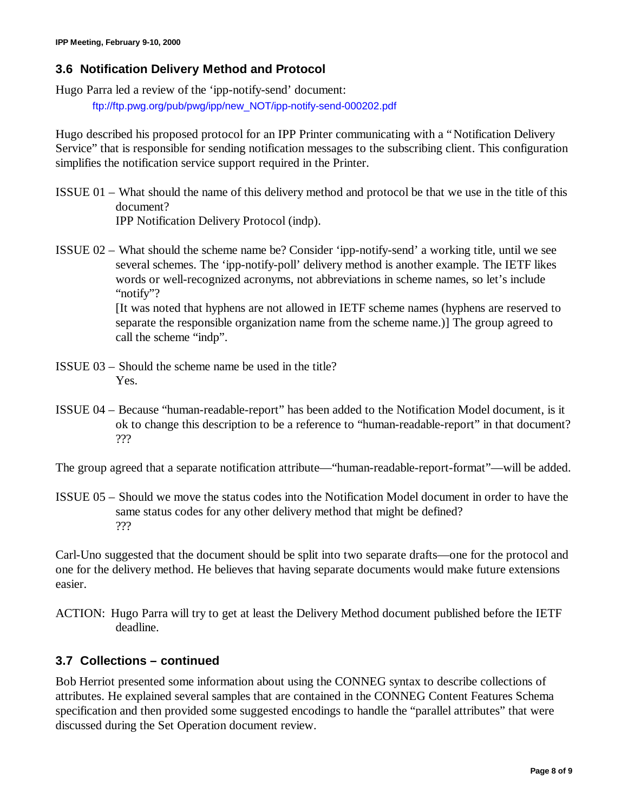# **3.6 Notification Delivery Method and Protocol**

Hugo Parra led a review of the 'ipp-notify-send' document:

ftp://ftp.pwg.org/pub/pwg/ipp/new\_NOT/ipp-notify-send-000202.pdf

Hugo described his proposed protocol for an IPP Printer communicating with a "Notification Delivery Service" that is responsible for sending notification messages to the subscribing client. This configuration simplifies the notification service support required in the Printer.

ISSUE 01 – What should the name of this delivery method and protocol be that we use in the title of this document?

IPP Notification Delivery Protocol (indp).

ISSUE 02 – What should the scheme name be? Consider 'ipp-notify-send' a working title, until we see several schemes. The 'ipp-notify-poll' delivery method is another example. The IETF likes words or well-recognized acronyms, not abbreviations in scheme names, so let's include "notify"?

> [It was noted that hyphens are not allowed in IETF scheme names (hyphens are reserved to separate the responsible organization name from the scheme name.)] The group agreed to call the scheme "indp".

- ISSUE 03 Should the scheme name be used in the title? Yes.
- ISSUE 04 Because "human-readable-report" has been added to the Notification Model document, is it ok to change this description to be a reference to "human-readable-report" in that document? ???

The group agreed that a separate notification attribute— "human-readable-report-format"—will be added.

ISSUE 05 – Should we move the status codes into the Notification Model document in order to have the same status codes for any other delivery method that might be defined? ???

Carl-Uno suggested that the document should be split into two separate drafts— one for the protocol and one for the delivery method. He believes that having separate documents would make future extensions easier.

ACTION: Hugo Parra will try to get at least the Delivery Method document published before the IETF deadline.

#### **3.7 Collections – continued**

Bob Herriot presented some information about using the CONNEG syntax to describe collections of attributes. He explained several samples that are contained in the CONNEG Content Features Schema specification and then provided some suggested encodings to handle the "parallel attributes" that were discussed during the Set Operation document review.